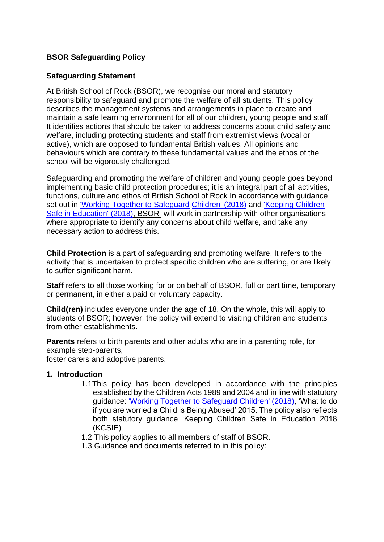# **BSOR Safeguarding Policy**

## **Safeguarding Statement**

At British School of Rock (BSOR), we recognise our moral and statutory responsibility to safeguard and promote the welfare of all students. This policy describes the management systems and arrangements in place to create and maintain a safe learning environment for all of our children, young people and staff. It identifies actions that should be taken to address concerns about child safety and welfare, including protecting students and staff from extremist views (vocal or active), which are opposed to fundamental British values. All opinions and behaviours which are contrary to these fundamental values and the ethos of the school will be vigorously challenged.

Safeguarding and promoting the welfare of children and young people goes beyond implementing basic child protection procedures; it is an integral part of all activities, functions, culture and ethos of British School of Rock In accordance with guidance set out in ['Working Together to Safeguard](https://www.gov.uk/government/publications/working-together-to-safeguard-children--2?utm_source=1a6063c3-b0a1-4d64-8f00-05c6fb7470e2&utm_medium=email&utm_campaign=govuk-notifications&utm_content=immediate) [Children' \(2018\)](https://www.gov.uk/government/publications/working-together-to-safeguard-children--2?utm_source=1a6063c3-b0a1-4d64-8f00-05c6fb7470e2&utm_medium=email&utm_campaign=govuk-notifications&utm_content=immediate) and ['Keeping Children](https://assets.publishing.service.gov.uk/government/uploads/system/uploads/attachment_data/file/707761/Keeping_Children_Safe_in_Education_-_September_2018.pdf)  [Safe in Education' \(2018\), B](https://assets.publishing.service.gov.uk/government/uploads/system/uploads/attachment_data/file/707761/Keeping_Children_Safe_in_Education_-_September_2018.pdf)SOR will work in partnership with other organisations where appropriate to identify any concerns about child welfare, and take any necessary action to address this.

**Child Protection** is a part of safeguarding and promoting welfare. It refers to the activity that is undertaken to protect specific children who are suffering, or are likely to suffer significant harm.

**Staff** refers to all those working for or on behalf of BSOR, full or part time, temporary or permanent, in either a paid or voluntary capacity.

**Child(ren)** includes everyone under the age of 18. On the whole, this will apply to students of BSOR; however, the policy will extend to visiting children and students from other establishments.

**Parents** refers to birth parents and other adults who are in a parenting role, for example step-parents,

foster carers and adoptive parents.

#### **1. Introduction**

- 1.1This policy has been developed in accordance with the principles established by the Children Acts 1989 and 2004 and in line with statutory guidance: 'Working Together to Safeguard Children' (2018), 'What to do if you are worried a Child is Being Abused' 2015. The policy also reflects both statutory guidance 'Keeping Children Safe in Education 2018 (KCSIE)
- 1.2 This policy applies to all members of staff of BSOR.
- 1.3 Guidance and documents referred to in this policy: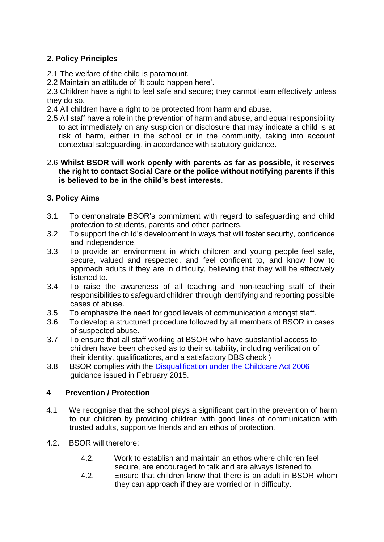# **2. Policy Principles**

- 2.1 The welfare of the child is paramount.
- 2.2 Maintain an attitude of 'It could happen here'.

2.3 Children have a right to feel safe and secure; they cannot learn effectively unless they do so.

- 2.4 All children have a right to be protected from harm and abuse.
- 2.5 All staff have a role in the prevention of harm and abuse, and equal responsibility to act immediately on any suspicion or disclosure that may indicate a child is at risk of harm, either in the school or in the community, taking into account contextual safeguarding, in accordance with statutory guidance.

#### 2.6 **Whilst BSOR will work openly with parents as far as possible, it reserves the right to contact Social Care or the police without notifying parents if this is believed to be in the child's best interests**.

# **3. Policy Aims**

- 3.1 To demonstrate BSOR's commitment with regard to safeguarding and child protection to students, parents and other partners.
- 3.2 To support the child's development in ways that will foster security, confidence and independence.
- 3.3 To provide an environment in which children and young people feel safe, secure, valued and respected, and feel confident to, and know how to approach adults if they are in difficulty, believing that they will be effectively listened to.
- 3.4 To raise the awareness of all teaching and non-teaching staff of their responsibilities to safeguard children through identifying and reporting possible cases of abuse.
- 3.5 To emphasize the need for good levels of communication amongst staff.
- 3.6 To develop a structured procedure followed by all members of BSOR in cases of suspected abuse.
- 3.7 To ensure that all staff working at BSOR who have substantial access to children have been checked as to their suitability, including verification of their identity, qualifications, and a satisfactory DBS check )
- 3.8 BSOR complies with the [Disqualification under the Childcare Act 2006](https://www.gov.uk/government/publications/disqualification-under-the-childcare-act-2006https:/www.gov.uk/government/publications/disqualification-under-the-childcare-act-2006) guidance issued in February 2015.

## **4 Prevention / Protection**

- 4.1 We recognise that the school plays a significant part in the prevention of harm to our children by providing children with good lines of communication with trusted adults, supportive friends and an ethos of protection.
- 4.2. BSOR will therefore:
	- 4.2. Work to establish and maintain an ethos where children feel secure, are encouraged to talk and are always listened to.
	- 4.2. Ensure that children know that there is an adult in BSOR whom they can approach if they are worried or in difficulty.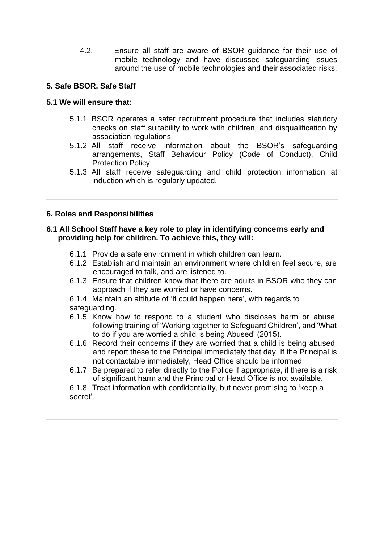4.2. Ensure all staff are aware of BSOR guidance for their use of mobile technology and have discussed safeguarding issues around the use of mobile technologies and their associated risks.

## **5. Safe BSOR, Safe Staff**

## **5.1 We will ensure that**:

- 5.1.1 BSOR operates a safer recruitment procedure that includes statutory checks on staff suitability to work with children, and disqualification by association regulations.
- 5.1.2 All staff receive information about the BSOR's safeguarding arrangements, Staff Behaviour Policy (Code of Conduct), Child Protection Policy,
- 5.1.3 All staff receive safeguarding and child protection information at induction which is regularly updated.

## **6. Roles and Responsibilities**

### **6.1 All School Staff have a key role to play in identifying concerns early and providing help for children. To achieve this, they will:**

- 6.1.1 Provide a safe environment in which children can learn.
- 6.1.2 Establish and maintain an environment where children feel secure, are encouraged to talk, and are listened to.
- 6.1.3 Ensure that children know that there are adults in BSOR who they can approach if they are worried or have concerns.
- 6.1.4 Maintain an attitude of 'It could happen here', with regards to safeguarding.
- 6.1.5 Know how to respond to a student who discloses harm or abuse, following training of 'Working together to Safeguard Children', and 'What to do if you are worried a child is being Abused' (2015).
- 6.1.6 Record their concerns if they are worried that a child is being abused, and report these to the Principal immediately that day. If the Principal is not contactable immediately, Head Office should be informed.
- 6.1.7 Be prepared to refer directly to the Police if appropriate, if there is a risk of significant harm and the Principal or Head Office is not available.

6.1.8 Treat information with confidentiality, but never promising to 'keep a secret'.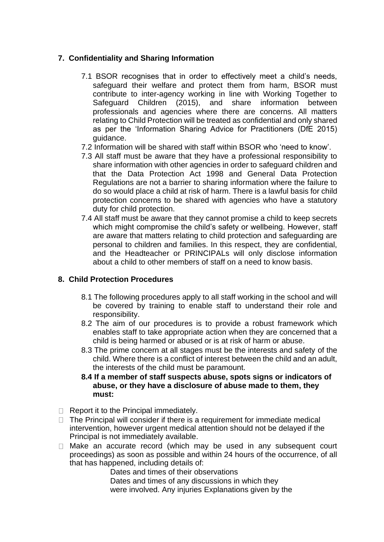## **7. Confidentiality and Sharing Information**

- 7.1 BSOR recognises that in order to effectively meet a child's needs, safeguard their welfare and protect them from harm, BSOR must contribute to inter-agency working in line with Working Together to Safeguard Children (2015), and share information between professionals and agencies where there are concerns. All matters relating to Child Protection will be treated as confidential and only shared as per the 'Information Sharing Advice for Practitioners (DfE 2015) guidance.
- 7.2 Information will be shared with staff within BSOR who 'need to know'.
- 7.3 All staff must be aware that they have a professional responsibility to share information with other agencies in order to safeguard children and that the Data Protection Act 1998 and General Data Protection Regulations are not a barrier to sharing information where the failure to do so would place a child at risk of harm. There is a lawful basis for child protection concerns to be shared with agencies who have a statutory duty for child protection.
- 7.4 All staff must be aware that they cannot promise a child to keep secrets which might compromise the child's safety or wellbeing. However, staff are aware that matters relating to child protection and safeguarding are personal to children and families. In this respect, they are confidential, and the Headteacher or PRINCIPALs will only disclose information about a child to other members of staff on a need to know basis.

## **8. Child Protection Procedures**

- 8.1 The following procedures apply to all staff working in the school and will be covered by training to enable staff to understand their role and responsibility.
- 8.2 The aim of our procedures is to provide a robust framework which enables staff to take appropriate action when they are concerned that a child is being harmed or abused or is at risk of harm or abuse.
- 8.3 The prime concern at all stages must be the interests and safety of the child. Where there is a conflict of interest between the child and an adult, the interests of the child must be paramount.
- **8.4 If a member of staff suspects abuse, spots signs or indicators of abuse, or they have a disclosure of abuse made to them, they must:**
- $\Box$  Report it to the Principal immediately.
- $\Box$  The Principal will consider if there is a requirement for immediate medical intervention, however urgent medical attention should not be delayed if the Principal is not immediately available.
- $\Box$  Make an accurate record (which may be used in any subsequent court proceedings) as soon as possible and within 24 hours of the occurrence, of all that has happened, including details of:

Dates and times of their observations

Dates and times of any discussions in which they were involved. Any injuries Explanations given by the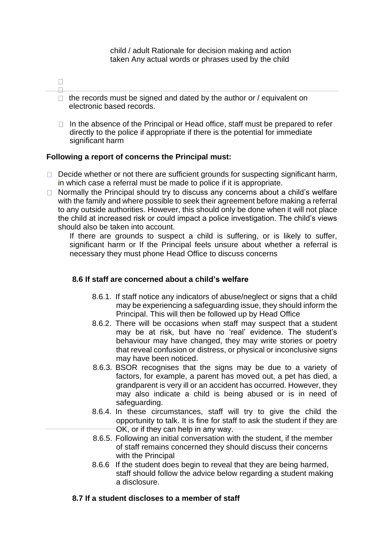child / adult Rationale for decision making and action taken Any actual words or phrases used by the child

- $\Box$  $\Box$
- $\Box$  the records must be signed and dated by the author or / equivalent on electronic based records.
- $\Box$  In the absence of the Principal or Head office, staff must be prepared to refer directly to the police if appropriate if there is the potential for immediate significant harm

## **Following a report of concerns the Principal must:**

- $\Box$  Decide whether or not there are sufficient grounds for suspecting significant harm, in which case a referral must be made to police if it is appropriate.
- $\Box$  Normally the Principal should try to discuss any concerns about a child's welfare with the family and where possible to seek their agreement before making a referral to any outside authorities. However, this should only be done when it will not place the child at increased risk or could impact a police investigation. The child's views should also be taken into account.

If there are grounds to suspect a child is suffering, or is likely to suffer, significant harm or If the Principal feels unsure about whether a referral is necessary they must phone Head Office to discuss concerns

#### **8.6 If staff are concerned about a child's welfare**

- 8.6.1. If staff notice any indicators of abuse/neglect or signs that a child may be experiencing a safeguarding issue, they should inform the Principal. This will then be followed up by Head Office
- 8.6.2. There will be occasions when staff may suspect that a student may be at risk, but have no 'real' evidence. The student's behaviour may have changed, they may write stories or poetry that reveal confusion or distress, or physical or inconclusive signs may have been noticed.
- 8.6.3. BSOR recognises that the signs may be due to a variety of factors, for example, a parent has moved out, a pet has died, a grandparent is very ill or an accident has occurred. However, they may also indicate a child is being abused or is in need of safeguarding.
- 8.6.4. In these circumstances, staff will try to give the child the opportunity to talk. It is fine for staff to ask the student if they are OK, or if they can help in any way.
- 8.6.5. Following an initial conversation with the student, if the member of staff remains concerned they should discuss their concerns with the Principal
- 8.6.6 If the student does begin to reveal that they are being harmed, staff should follow the advice below regarding a student making a disclosure.

#### **8.7 If a student discloses to a member of staff**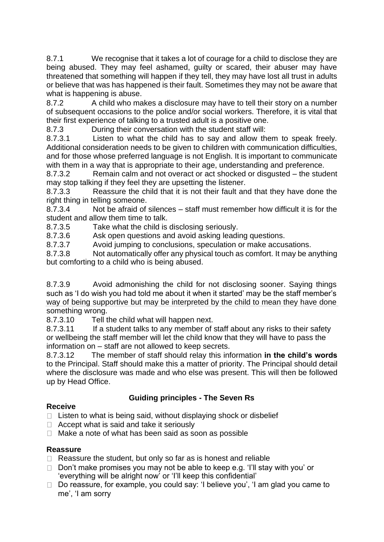8.7.1 We recognise that it takes a lot of courage for a child to disclose they are being abused. They may feel ashamed, guilty or scared, their abuser may have threatened that something will happen if they tell, they may have lost all trust in adults or believe that was has happened is their fault. Sometimes they may not be aware that what is happening is abuse.

8.7.2 A child who makes a disclosure may have to tell their story on a number of subsequent occasions to the police and/or social workers. Therefore, it is vital that their first experience of talking to a trusted adult is a positive one.

8.7.3 During their conversation with the student staff will:

8.7.3.1 Listen to what the child has to say and allow them to speak freely. Additional consideration needs to be given to children with communication difficulties, and for those whose preferred language is not English. It is important to communicate with them in a way that is appropriate to their age, understanding and preference.

8.7.3.2 Remain calm and not overact or act shocked or disgusted – the student may stop talking if they feel they are upsetting the listener.

8.7.3.3 Reassure the child that it is not their fault and that they have done the right thing in telling someone.

8.7.3.4 Not be afraid of silences – staff must remember how difficult it is for the student and allow them time to talk.

8.7.3.5 Take what the child is disclosing seriously.

8.7.3.6 Ask open questions and avoid asking leading questions.

8.7.3.7 Avoid jumping to conclusions, speculation or make accusations.

8.7.3.8 Not automatically offer any physical touch as comfort. It may be anything but comforting to a child who is being abused.

8.7.3.9 Avoid admonishing the child for not disclosing sooner. Saying things such as 'I do wish you had told me about it when it started' may be the staff member's way of being supportive but may be interpreted by the child to mean they have done something wrong.

8.7.3.10 Tell the child what will happen next.

8.7.3.11 If a student talks to any member of staff about any risks to their safety or wellbeing the staff member will let the child know that they will have to pass the information on – staff are not allowed to keep secrets.

8.7.3.12 The member of staff should relay this information **in the child's words** to the Principal. Staff should make this a matter of priority. The Principal should detail where the disclosure was made and who else was present. This will then be followed up by Head Office.

# **Guiding principles - The Seven Rs**

## **Receive**

 $\Box$  Listen to what is being said, without displaying shock or disbelief

- $\Box$  Accept what is said and take it seriously
- □ Make a note of what has been said as soon as possible

## **Reassure**

- $\Box$  Reassure the student, but only so far as is honest and reliable
- $\Box$  Don't make promises you may not be able to keep e.g. 'I'll stay with you' or 'everything will be alright now' or 'I'll keep this confidential'
- □ Do reassure, for example, you could say: 'I believe you', 'I am glad you came to me', 'I am sorry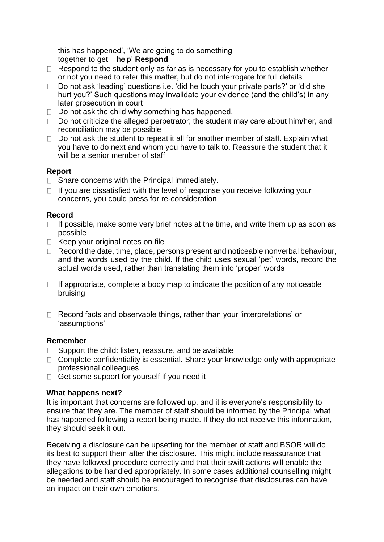this has happened', 'We are going to do something together to get help' **Respond**

- $\Box$  Respond to the student only as far as is necessary for you to establish whether or not you need to refer this matter, but do not interrogate for full details
- $\Box$  Do not ask 'leading' questions i.e. 'did he touch your private parts?' or 'did she hurt you?' Such questions may invalidate your evidence (and the child's) in any later prosecution in court
- $\Box$  Do not ask the child why something has happened.
- $\Box$  Do not criticize the alleged perpetrator; the student may care about him/her, and reconciliation may be possible
- $\Box$  Do not ask the student to repeat it all for another member of staff. Explain what you have to do next and whom you have to talk to. Reassure the student that it will be a senior member of staff

## **Report**

- $\Box$  Share concerns with the Principal immediately.
- $\Box$  If you are dissatisfied with the level of response you receive following your concerns, you could press for re-consideration

## **Record**

- $\Box$  If possible, make some very brief notes at the time, and write them up as soon as possible
- $\Box$  Keep your original notes on file
- $\Box$  Record the date, time, place, persons present and noticeable nonverbal behaviour, and the words used by the child. If the child uses sexual 'pet' words, record the actual words used, rather than translating them into 'proper' words
- $\Box$  If appropriate, complete a body map to indicate the position of any noticeable bruising
- □ Record facts and observable things, rather than your 'interpretations' or 'assumptions'

#### **Remember**

- $\Box$  Support the child: listen, reassure, and be available
- $\Box$  Complete confidentiality is essential. Share your knowledge only with appropriate professional colleagues
- $\Box$  Get some support for yourself if you need it

#### **What happens next?**

It is important that concerns are followed up, and it is everyone's responsibility to ensure that they are. The member of staff should be informed by the Principal what has happened following a report being made. If they do not receive this information, they should seek it out.

Receiving a disclosure can be upsetting for the member of staff and BSOR will do its best to support them after the disclosure. This might include reassurance that they have followed procedure correctly and that their swift actions will enable the allegations to be handled appropriately. In some cases additional counselling might be needed and staff should be encouraged to recognise that disclosures can have an impact on their own emotions.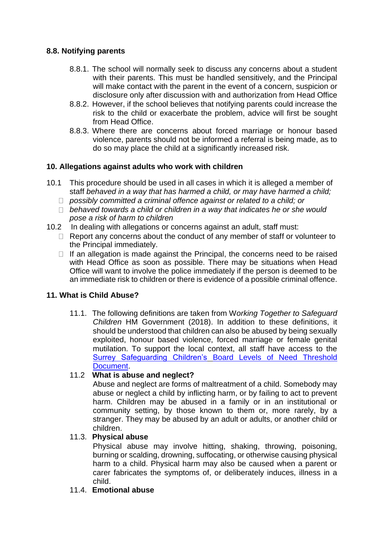## **8.8. Notifying parents**

- 8.8.1. The school will normally seek to discuss any concerns about a student with their parents. This must be handled sensitively, and the Principal will make contact with the parent in the event of a concern, suspicion or disclosure only after discussion with and authorization from Head Office
- 8.8.2. However, if the school believes that notifying parents could increase the risk to the child or exacerbate the problem, advice will first be sought from Head Office.
- 8.8.3. Where there are concerns about forced marriage or honour based violence, parents should not be informed a referral is being made, as to do so may place the child at a significantly increased risk.

## **10. Allegations against adults who work with children**

- 10.1 This procedure should be used in all cases in which it is alleged a member of staff *behaved in a way that has harmed a child, or may have harmed a child;*
	- *possibly committed a criminal offence against or related to a child; or*
	- *behaved towards a child or children in a way that indicates he or she would pose a risk of harm to children*
- 10.2 In dealing with allegations or concerns against an adult, staff must:
	- $\Box$  Report any concerns about the conduct of any member of staff or volunteer to the Principal immediately.
	- $\Box$  If an allegation is made against the Principal, the concerns need to be raised with Head Office as soon as possible. There may be situations when Head Office will want to involve the police immediately if the person is deemed to be an immediate risk to children or there is evidence of a possible criminal offence.

## **11. What is Child Abuse?**

11.1. The following definitions are taken from W*orking Together to Safeguard Children* HM Government (2018). In addition to these definitions, it should be understood that children can also be abused by being sexually exploited, honour based violence, forced marriage or female genital mutilation. To support the local context, all staff have access to the Surrey Safeguarding Children's [Board Levels of Need Threshold](http://www.surreyscb.org.uk/wp-content/uploads/2017/08/Levels-of-Need-Final-5-October16.pdf) [Document.](http://www.surreyscb.org.uk/wp-content/uploads/2017/08/Levels-of-Need-Final-5-October16.pdf)

## 11.2 **What is abuse and neglect?**

Abuse and neglect are forms of maltreatment of a child. Somebody may abuse or neglect a child by inflicting harm, or by failing to act to prevent harm. Children may be abused in a family or in an institutional or community setting, by those known to them or, more rarely, by a stranger. They may be abused by an adult or adults, or another child or children.

#### 11.3. **Physical abuse**

Physical abuse may involve hitting, shaking, throwing, poisoning, burning or scalding, drowning, suffocating, or otherwise causing physical harm to a child. Physical harm may also be caused when a parent or carer fabricates the symptoms of, or deliberately induces, illness in a child.

#### 11.4. **Emotional abuse**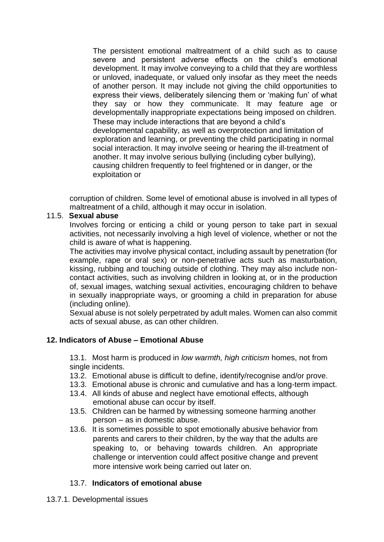The persistent emotional maltreatment of a child such as to cause severe and persistent adverse effects on the child's emotional development. It may involve conveying to a child that they are worthless or unloved, inadequate, or valued only insofar as they meet the needs of another person. It may include not giving the child opportunities to express their views, deliberately silencing them or 'making fun' of what they say or how they communicate. It may feature age or developmentally inappropriate expectations being imposed on children. These may include interactions that are beyond a child's developmental capability, as well as overprotection and limitation of exploration and learning, or preventing the child participating in normal social interaction. It may involve seeing or hearing the ill-treatment of another. It may involve serious bullying (including cyber bullying), causing children frequently to feel frightened or in danger, or the exploitation or

corruption of children. Some level of emotional abuse is involved in all types of maltreatment of a child, although it may occur in isolation.

## 11.5. **Sexual abuse**

Involves forcing or enticing a child or young person to take part in sexual activities, not necessarily involving a high level of violence, whether or not the child is aware of what is happening.

The activities may involve physical contact, including assault by penetration (for example, rape or oral sex) or non-penetrative acts such as masturbation, kissing, rubbing and touching outside of clothing. They may also include noncontact activities, such as involving children in looking at, or in the production of, sexual images, watching sexual activities, encouraging children to behave in sexually inappropriate ways, or grooming a child in preparation for abuse (including online).

Sexual abuse is not solely perpetrated by adult males. Women can also commit acts of sexual abuse, as can other children.

## **12. Indicators of Abuse – Emotional Abuse**

13.1. Most harm is produced in *low warmth, high criticism* homes, not from single incidents.

- 13.2. Emotional abuse is difficult to define, identify/recognise and/or prove.
- 13.3. Emotional abuse is chronic and cumulative and has a long-term impact.
- 13.4. All kinds of abuse and neglect have emotional effects, although emotional abuse can occur by itself.
- 13.5. Children can be harmed by witnessing someone harming another person – as in domestic abuse.
- 13.6. It is sometimes possible to spot emotionally abusive behavior from parents and carers to their children, by the way that the adults are speaking to, or behaving towards children. An appropriate challenge or intervention could affect positive change and prevent more intensive work being carried out later on.

#### 13.7. **Indicators of emotional abuse**

#### 13.7.1. Developmental issues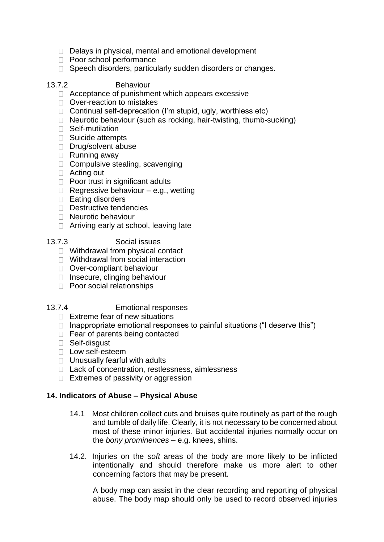- $\Box$  Delays in physical, mental and emotional development
- D Poor school performance
- □ Speech disorders, particularly sudden disorders or changes.

### 13.7.2 Behaviour

- $\Box$  Acceptance of punishment which appears excessive
- □ Over-reaction to mistakes
- $\Box$  Continual self-deprecation (I'm stupid, ugly, worthless etc)
- $\Box$  Neurotic behaviour (such as rocking, hair-twisting, thumb-sucking)
- □ Self-mutilation
- $\Box$  Suicide attempts
- Drug/solvent abuse
- $\Box$  Running away
- $\Box$  Compulsive stealing, scavenging
- □ Acting out
- $\Box$  Poor trust in significant adults
- $\Box$  Regressive behaviour e.g., wetting
- $\Box$  Eating disorders
- Destructive tendencies
- $\Box$  Neurotic behaviour
- □ Arriving early at school, leaving late
- 13.7.3 Social issues
	- □ Withdrawal from physical contact
	- □ Withdrawal from social interaction
	- Over-compliant behaviour
	- $\Box$  Insecure, clinging behaviour
	- D Poor social relationships

## 13.7.4 Emotional responses

- $\Box$  Extreme fear of new situations
- $\Box$  Inappropriate emotional responses to painful situations ("I deserve this")
- $\Box$  Fear of parents being contacted
- Self-disgust
- □ Low self-esteem
- $\Box$  Unusually fearful with adults
- □ Lack of concentration, restlessness, aimlessness
- $\Box$  Extremes of passivity or aggression

#### **14. Indicators of Abuse – Physical Abuse**

- 14.1 Most children collect cuts and bruises quite routinely as part of the rough and tumble of daily life. Clearly, it is not necessary to be concerned about most of these minor injuries. But accidental injuries normally occur on the *bony prominences* – e.g. knees, shins.
- 14.2. Injuries on the *soft* areas of the body are more likely to be inflicted intentionally and should therefore make us more alert to other concerning factors that may be present.

A body map can assist in the clear recording and reporting of physical abuse. The body map should only be used to record observed injuries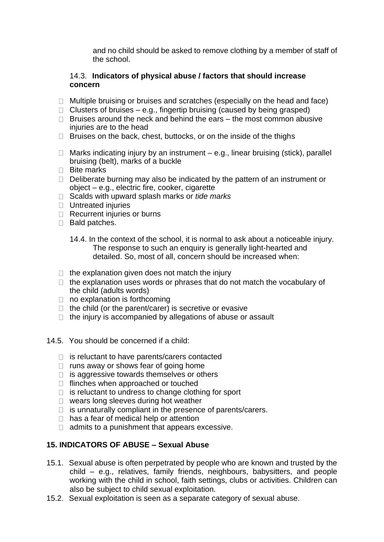and no child should be asked to remove clothing by a member of staff of the school.

### 14.3. **Indicators of physical abuse / factors that should increase concern**

- $\Box$  Multiple bruising or bruises and scratches (especially on the head and face)
- $\Box$  Clusters of bruises e.g., fingertip bruising (caused by being grasped)
- $\Box$  Bruises around the neck and behind the ears the most common abusive injuries are to the head
- $\Box$  Bruises on the back, chest, buttocks, or on the inside of the thighs
- $\Box$  Marks indicating injury by an instrument e.g., linear bruising (stick), parallel bruising (belt), marks of a buckle
- □ Bite marks
- $\Box$  Deliberate burning may also be indicated by the pattern of an instrument or object – e.g., electric fire, cooker, cigarette
- Scalds with upward splash marks or *tide marks*
- $\Box$  Untreated injuries
- $\Box$  Recurrent injuries or burns
- Bald patches.
	- 14.4. In the context of the school, it is normal to ask about a noticeable injury. The response to such an enquiry is generally light-hearted and detailed. So, most of all, concern should be increased when:
- $\Box$  the explanation given does not match the injury
- $\Box$  the explanation uses words or phrases that do not match the vocabulary of the child (adults words)
- $\Box$  no explanation is forthcoming
- $\Box$  the child (or the parent/carer) is secretive or evasive
- $\Box$  the injury is accompanied by allegations of abuse or assault
- 14.5. You should be concerned if a child:
	- $\Box$  is reluctant to have parents/carers contacted
	- $\Box$  runs away or shows fear of going home
	- $\Box$  is aggressive towards themselves or others
	- $\Box$  flinches when approached or touched
	- $\Box$  is reluctant to undress to change clothing for sport
	- □ wears long sleeves during hot weather
	- $\Box$  is unnaturally compliant in the presence of parents/carers.
	- $\Box$  has a fear of medical help or attention
	- $\Box$  admits to a punishment that appears excessive.

## **15. INDICATORS OF ABUSE – Sexual Abuse**

- 15.1. Sexual abuse is often perpetrated by people who are known and trusted by the child – e.g., relatives, family friends, neighbours, babysitters, and people working with the child in school, faith settings, clubs or activities. Children can also be subject to child sexual exploitation.
- 15.2. Sexual exploitation is seen as a separate category of sexual abuse.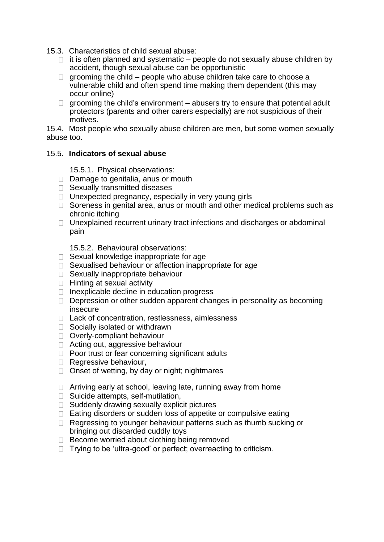- 15.3. Characteristics of child sexual abuse:
	- $\Box$  it is often planned and systematic people do not sexually abuse children by accident, though sexual abuse can be opportunistic
	- $\Box$  grooming the child people who abuse children take care to choose a vulnerable child and often spend time making them dependent (this may occur online)
	- $\Box$  grooming the child's environment abusers try to ensure that potential adult protectors (parents and other carers especially) are not suspicious of their motives.

15.4. Most people who sexually abuse children are men, but some women sexually abuse too.

## 15.5. **Indicators of sexual abuse**

15.5.1. Physical observations:

- $\Box$  Damage to genitalia, anus or mouth
- □ Sexually transmitted diseases
- $\Box$  Unexpected pregnancy, especially in very young girls
- $\Box$  Soreness in genital area, anus or mouth and other medical problems such as chronic itching
- $\Box$  Unexplained recurrent urinary tract infections and discharges or abdominal pain

15.5.2. Behavioural observations:

- $\Box$  Sexual knowledge inappropriate for age
- $\Box$  Sexualised behaviour or affection inappropriate for age
- □ Sexually inappropriate behaviour
- $\Box$  Hinting at sexual activity
- $\Box$  Inexplicable decline in education progress
- $\Box$  Depression or other sudden apparent changes in personality as becoming insecure
- □ Lack of concentration, restlessness, aimlessness
- $\Box$  Socially isolated or withdrawn
- D Overly-compliant behaviour
- □ Acting out, aggressive behaviour
- $\Box$  Poor trust or fear concerning significant adults
- Regressive behaviour,
- $\Box$  Onset of wetting, by day or night; nightmares
- $\Box$  Arriving early at school, leaving late, running away from home
- $\Box$  Suicide attempts, self-mutilation,
- $\Box$  Suddenly drawing sexually explicit pictures
- $\Box$  Eating disorders or sudden loss of appetite or compulsive eating
- $\Box$  Regressing to younger behaviour patterns such as thumb sucking or bringing out discarded cuddly toys
- $\Box$  Become worried about clothing being removed
- $\Box$  Trying to be 'ultra-good' or perfect; overreacting to criticism.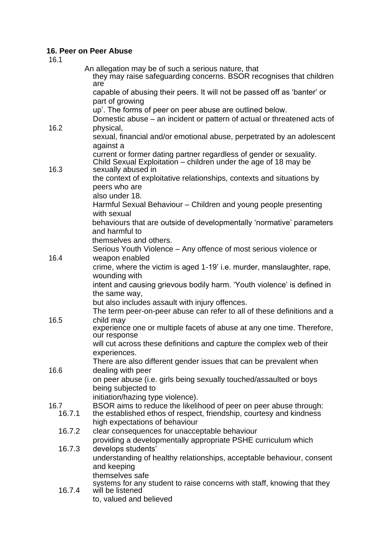# **16. Peer on Peer Abuse**

| 16.1   |                                                                                                                                                              |
|--------|--------------------------------------------------------------------------------------------------------------------------------------------------------------|
|        | An allegation may be of such a serious nature, that<br>they may raise safeguarding concerns. BSOR recognises that children<br>are                            |
|        | capable of abusing their peers. It will not be passed off as 'banter' or<br>part of growing                                                                  |
|        | up'. The forms of peer on peer abuse are outlined below.<br>Domestic abuse – an incident or pattern of actual or threatened acts of                          |
| 16.2   | physical,                                                                                                                                                    |
|        | sexual, financial and/or emotional abuse, perpetrated by an adolescent<br>against a                                                                          |
| 16.3   | current or former dating partner regardless of gender or sexuality.<br>Child Sexual Exploitation – children under the age of 18 may be<br>sexually abused in |
|        | the context of exploitative relationships, contexts and situations by<br>peers who are                                                                       |
|        | also under 18.                                                                                                                                               |
|        | Harmful Sexual Behaviour - Children and young people presenting<br>with sexual                                                                               |
|        | behaviours that are outside of developmentally 'normative' parameters<br>and harmful to                                                                      |
|        | themselves and others.                                                                                                                                       |
|        | Serious Youth Violence – Any offence of most serious violence or                                                                                             |
| 16.4   | weapon enabled<br>crime, where the victim is aged 1-19' i.e. murder, manslaughter, rape,                                                                     |
|        | wounding with<br>intent and causing grievous bodily harm. 'Youth violence' is defined in                                                                     |
|        | the same way,                                                                                                                                                |
|        | but also includes assault with injury offences.                                                                                                              |
|        | The term peer-on-peer abuse can refer to all of these definitions and a                                                                                      |
| 16.5   | child may<br>experience one or multiple facets of abuse at any one time. Therefore,<br>our response                                                          |
|        | will cut across these definitions and capture the complex web of their                                                                                       |
|        | experiences.                                                                                                                                                 |
| 16.6   | There are also different gender issues that can be prevalent when<br>dealing with peer                                                                       |
|        | on peer abuse (i.e. girls being sexually touched/assaulted or boys                                                                                           |
|        | being subjected to<br>initiation/hazing type violence).                                                                                                      |
| 16.7   | BSOR aims to reduce the likelihood of peer on peer abuse through:                                                                                            |
| 16.7.1 | the established ethos of respect, friendship, courtesy and kindness<br>high expectations of behaviour                                                        |
| 16.7.2 | clear consequences for unacceptable behaviour                                                                                                                |
|        | providing a developmentally appropriate PSHE curriculum which                                                                                                |
| 16.7.3 | develops students'                                                                                                                                           |
|        | understanding of healthy relationships, acceptable behaviour, consent                                                                                        |
|        | and keeping<br>themselves safe                                                                                                                               |
| 16.7.4 | systems for any student to raise concerns with staff, knowing that they<br>will be listened                                                                  |
|        | to, valued and believed                                                                                                                                      |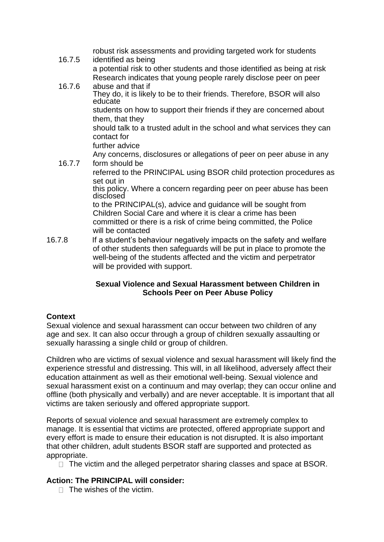| 16.7.5 | robust risk assessments and providing targeted work for students<br>identified as being                                                       |
|--------|-----------------------------------------------------------------------------------------------------------------------------------------------|
|        | a potential risk to other students and those identified as being at risk<br>Research indicates that young people rarely disclose peer on peer |
| 16.7.6 | abuse and that if                                                                                                                             |
|        | They do, it is likely to be to their friends. Therefore, BSOR will also<br>educate                                                            |
|        | students on how to support their friends if they are concerned about<br>them, that they                                                       |
|        | should talk to a trusted adult in the school and what services they can<br>contact for                                                        |
|        | further advice                                                                                                                                |
|        | Any concerns, disclosures or allegations of peer on peer abuse in any                                                                         |
| 16.7.7 | form should be                                                                                                                                |
|        | referred to the PRINCIPAL using BSOR child protection procedures as<br>set out in                                                             |
|        | this policy. Where a concern regarding peer on peer abuse has been<br>disclosed                                                               |
|        | to the PRINCIPAL(s), advice and guidance will be sought from                                                                                  |
|        | Children Social Care and where it is clear a crime has been                                                                                   |
|        | committed or there is a risk of crime being committed, the Police<br>will be contacted                                                        |
| 16.7.8 | If a student's behaviour negatively impacts on the safety and welfare                                                                         |
|        | of other students then safeguards will be put in place to promote the<br>well-being of the students affected and the victim and perpetrator   |

## **Sexual Violence and Sexual Harassment between Children in Schools Peer on Peer Abuse Policy**

## **Context**

Sexual violence and sexual harassment can occur between two children of any age and sex. It can also occur through a group of children sexually assaulting or sexually harassing a single child or group of children.

will be provided with support.

Children who are victims of sexual violence and sexual harassment will likely find the experience stressful and distressing. This will, in all likelihood, adversely affect their education attainment as well as their emotional well-being. Sexual violence and sexual harassment exist on a continuum and may overlap; they can occur online and offline (both physically and verbally) and are never acceptable. It is important that all victims are taken seriously and offered appropriate support.

Reports of sexual violence and sexual harassment are extremely complex to manage. It is essential that victims are protected, offered appropriate support and every effort is made to ensure their education is not disrupted. It is also important that other children, adult students BSOR staff are supported and protected as appropriate.

 $\Box$  The victim and the alleged perpetrator sharing classes and space at BSOR.

#### **Action: The PRINCIPAL will consider:**

 $\Box$  The wishes of the victim.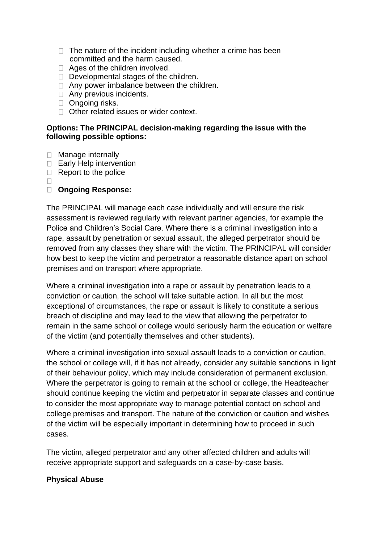- $\Box$  The nature of the incident including whether a crime has been committed and the harm caused.
- $\Box$  Ages of the children involved.
- $\Box$  Developmental stages of the children.
- $\Box$  Any power imbalance between the children.
- Any previous incidents.
- □ Ongoing risks.
- □ Other related issues or wider context.

#### **Options: The PRINCIPAL decision-making regarding the issue with the following possible options:**

- □ Manage internally
- □ Early Help intervention
- $\Box$  Report to the police
- $\Box$

## **Ongoing Response:**

The PRINCIPAL will manage each case individually and will ensure the risk assessment is reviewed regularly with relevant partner agencies, for example the Police and Children's Social Care. Where there is a criminal investigation into a rape, assault by penetration or sexual assault, the alleged perpetrator should be removed from any classes they share with the victim. The PRINCIPAL will consider how best to keep the victim and perpetrator a reasonable distance apart on school premises and on transport where appropriate.

Where a criminal investigation into a rape or assault by penetration leads to a conviction or caution, the school will take suitable action. In all but the most exceptional of circumstances, the rape or assault is likely to constitute a serious breach of discipline and may lead to the view that allowing the perpetrator to remain in the same school or college would seriously harm the education or welfare of the victim (and potentially themselves and other students).

Where a criminal investigation into sexual assault leads to a conviction or caution, the school or college will, if it has not already, consider any suitable sanctions in light of their behaviour policy, which may include consideration of permanent exclusion. Where the perpetrator is going to remain at the school or college, the Headteacher should continue keeping the victim and perpetrator in separate classes and continue to consider the most appropriate way to manage potential contact on school and college premises and transport. The nature of the conviction or caution and wishes of the victim will be especially important in determining how to proceed in such cases.

The victim, alleged perpetrator and any other affected children and adults will receive appropriate support and safeguards on a case-by-case basis.

#### **Physical Abuse**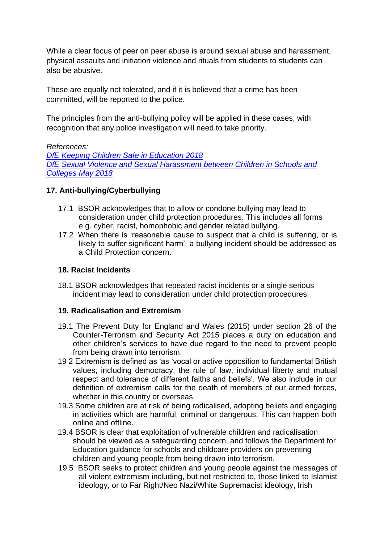While a clear focus of peer on peer abuse is around sexual abuse and harassment, physical assaults and initiation violence and rituals from students to students can also be abusive.

These are equally not tolerated, and if it is believed that a crime has been committed, will be reported to the police.

The principles from the anti-bullying policy will be applied in these cases, with recognition that any police investigation will need to take priority.

## *References:*

*[DfE Keeping Children Safe in Education 2018](https://www.gov.uk/government/publications/keeping-children-safe-in-education--2) [DfE Sexual Violence and Sexual Harassment between Children in Schools and](https://www.gov.uk/government/publications/sexual-violence-and-sexual-harassment-between-children-in-schools-and-colleges)  [Colleges May 2018](https://www.gov.uk/government/publications/sexual-violence-and-sexual-harassment-between-children-in-schools-and-colleges)*

## **17. Anti-bullying/Cyberbullying**

- 17.1 BSOR acknowledges that to allow or condone bullying may lead to consideration under child protection procedures. This includes all forms e.g. cyber, racist, homophobic and gender related bullying.
- 17.2 When there is 'reasonable cause to suspect that a child is suffering, or is likely to suffer significant harm', a bullying incident should be addressed as a Child Protection concern.

## **18. Racist Incidents**

18.1 BSOR acknowledges that repeated racist incidents or a single serious incident may lead to consideration under child protection procedures.

## **19. Radicalisation and Extremism**

- 19.1 The Prevent Duty for England and Wales (2015) under section 26 of the Counter-Terrorism and Security Act 2015 places a duty on education and other children's services to have due regard to the need to prevent people from being drawn into terrorism.
- 19 2 Extremism is defined as 'as 'vocal or active opposition to fundamental British values, including democracy, the rule of law, individual liberty and mutual respect and tolerance of different faiths and beliefs'. We also include in our definition of extremism calls for the death of members of our armed forces, whether in this country or overseas.
- 19.3 Some children are at risk of being radicalised, adopting beliefs and engaging in activities which are harmful, criminal or dangerous. This can happen both online and offline.
- 19.4 BSOR is clear that exploitation of vulnerable children and radicalisation should be viewed as a safeguarding concern, and follows the Department for Education guidance for schools and childcare providers on preventing children and young people from being drawn into terrorism.
- 19.5 BSOR seeks to protect children and young people against the messages of all violent extremism including, but not restricted to, those linked to Islamist ideology, or to Far Right/Neo Nazi/White Supremacist ideology, Irish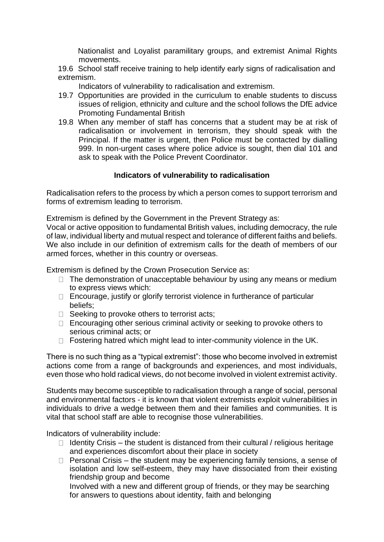Nationalist and Loyalist paramilitary groups, and extremist Animal Rights movements.

19.6 School staff receive training to help identify early signs of radicalisation and extremism.

Indicators of vulnerability to radicalisation and extremism.

- 19.7 Opportunities are provided in the curriculum to enable students to discuss issues of religion, ethnicity and culture and the school follows the DfE advice Promoting Fundamental British
- 19.8 When any member of staff has concerns that a student may be at risk of radicalisation or involvement in terrorism, they should speak with the Principal. If the matter is urgent, then Police must be contacted by dialling 999. In non-urgent cases where police advice is sought, then dial 101 and ask to speak with the Police Prevent Coordinator.

## **Indicators of vulnerability to radicalisation**

Radicalisation refers to the process by which a person comes to support terrorism and forms of extremism leading to terrorism.

Extremism is defined by the Government in the Prevent Strategy as:

Vocal or active opposition to fundamental British values, including democracy, the rule of law, individual liberty and mutual respect and tolerance of different faiths and beliefs. We also include in our definition of extremism calls for the death of members of our armed forces, whether in this country or overseas.

Extremism is defined by the Crown Prosecution Service as:

- $\Box$  The demonstration of unacceptable behaviour by using any means or medium to express views which:
- $\Box$  Encourage, justify or glorify terrorist violence in furtherance of particular beliefs;
- $\Box$  Seeking to provoke others to terrorist acts;
- $\Box$  Encouraging other serious criminal activity or seeking to provoke others to serious criminal acts; or
- $\Box$  Fostering hatred which might lead to inter-community violence in the UK.

There is no such thing as a "typical extremist": those who become involved in extremist actions come from a range of backgrounds and experiences, and most individuals, even those who hold radical views, do not become involved in violent extremist activity.

Students may become susceptible to radicalisation through a range of social, personal and environmental factors - it is known that violent extremists exploit vulnerabilities in individuals to drive a wedge between them and their families and communities. It is vital that school staff are able to recognise those vulnerabilities.

Indicators of vulnerability include:

- $\Box$  Identity Crisis the student is distanced from their cultural / religious heritage and experiences discomfort about their place in society
- $\Box$  Personal Crisis the student may be experiencing family tensions, a sense of isolation and low self-esteem, they may have dissociated from their existing friendship group and become

Involved with a new and different group of friends, or they may be searching for answers to questions about identity, faith and belonging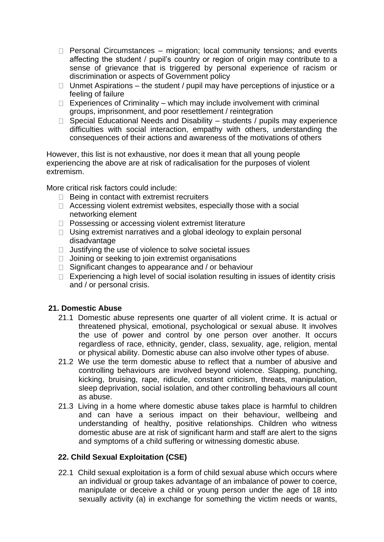- $\Box$  Personal Circumstances migration; local community tensions; and events affecting the student / pupil's country or region of origin may contribute to a sense of grievance that is triggered by personal experience of racism or discrimination or aspects of Government policy
- $\Box$  Unmet Aspirations the student / pupil may have perceptions of injustice or a feeling of failure
- $\Box$  Experiences of Criminality which may include involvement with criminal groups, imprisonment, and poor resettlement / reintegration
- $\Box$  Special Educational Needs and Disability students / pupils may experience difficulties with social interaction, empathy with others, understanding the consequences of their actions and awareness of the motivations of others

However, this list is not exhaustive, nor does it mean that all young people experiencing the above are at risk of radicalisation for the purposes of violent extremism.

More critical risk factors could include:

- $\Box$  Being in contact with extremist recruiters
- $\Box$  Accessing violent extremist websites, especially those with a social networking element
- □ Possessing or accessing violent extremist literature
- $\Box$  Using extremist narratives and a global ideology to explain personal disadvantage
- $\Box$  Justifying the use of violence to solve societal issues
- $\Box$  Joining or seeking to join extremist organisations
- $\Box$  Significant changes to appearance and / or behaviour
- $\Box$  Experiencing a high level of social isolation resulting in issues of identity crisis and / or personal crisis.

#### **21. Domestic Abuse**

- 21.1 Domestic abuse represents one quarter of all violent crime. It is actual or threatened physical, emotional, psychological or sexual abuse. It involves the use of power and control by one person over another. It occurs regardless of race, ethnicity, gender, class, sexuality, age, religion, mental or physical ability. Domestic abuse can also involve other types of abuse.
- 21.2 We use the term domestic abuse to reflect that a number of abusive and controlling behaviours are involved beyond violence. Slapping, punching, kicking, bruising, rape, ridicule, constant criticism, threats, manipulation, sleep deprivation, social isolation, and other controlling behaviours all count as abuse.
- 21.3 Living in a home where domestic abuse takes place is harmful to children and can have a serious impact on their behaviour, wellbeing and understanding of healthy, positive relationships. Children who witness domestic abuse are at risk of significant harm and staff are alert to the signs and symptoms of a child suffering or witnessing domestic abuse.

#### **22. Child Sexual Exploitation (CSE)**

22.1 Child sexual exploitation is a form of child sexual abuse which occurs where an individual or group takes advantage of an imbalance of power to coerce, manipulate or deceive a child or young person under the age of 18 into sexually activity (a) in exchange for something the victim needs or wants,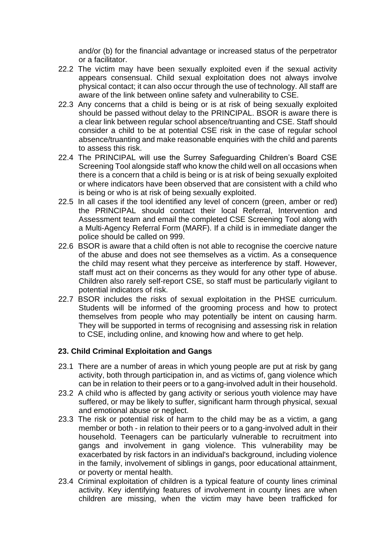and/or (b) for the financial advantage or increased status of the perpetrator or a facilitator.

- 22.2 The victim may have been sexually exploited even if the sexual activity appears consensual. Child sexual exploitation does not always involve physical contact; it can also occur through the use of technology. All staff are aware of the link between online safety and vulnerability to CSE.
- 22.3 Any concerns that a child is being or is at risk of being sexually exploited should be passed without delay to the PRINCIPAL. BSOR is aware there is a clear link between regular school absence/truanting and CSE. Staff should consider a child to be at potential CSE risk in the case of regular school absence/truanting and make reasonable enquiries with the child and parents to assess this risk.
- 22.4 The PRINCIPAL will use the Surrey Safeguarding Children's Board CSE Screening Tool alongside staff who know the child well on all occasions when there is a concern that a child is being or is at risk of being sexually exploited or where indicators have been observed that are consistent with a child who is being or who is at risk of being sexually exploited.
- 22.5 In all cases if the tool identified any level of concern (green, amber or red) the PRINCIPAL should contact their local Referral, Intervention and Assessment team and email the completed CSE Screening Tool along with a Multi-Agency Referral Form (MARF). If a child is in immediate danger the police should be called on 999.
- 22.6 BSOR is aware that a child often is not able to recognise the coercive nature of the abuse and does not see themselves as a victim. As a consequence the child may resent what they perceive as interference by staff. However, staff must act on their concerns as they would for any other type of abuse. Children also rarely self-report CSE, so staff must be particularly vigilant to potential indicators of risk.
- 22.7 BSOR includes the risks of sexual exploitation in the PHSE curriculum. Students will be informed of the grooming process and how to protect themselves from people who may potentially be intent on causing harm. They will be supported in terms of recognising and assessing risk in relation to CSE, including online, and knowing how and where to get help.

#### **23. Child Criminal Exploitation and Gangs**

- 23.1 There are a number of areas in which young people are put at risk by gang activity, both through participation in, and as victims of, gang violence which can be in relation to their peers or to a gang-involved adult in their household.
- 23.2 A child who is affected by gang activity or serious youth violence may have suffered, or may be likely to suffer, significant harm through physical, sexual and emotional abuse or neglect.
- 23.3 The risk or potential risk of harm to the child may be as a victim, a gang member or both - in relation to their peers or to a gang-involved adult in their household. Teenagers can be particularly vulnerable to recruitment into gangs and involvement in gang violence. This vulnerability may be exacerbated by risk factors in an individual's background, including violence in the family, involvement of siblings in gangs, poor educational attainment, or poverty or mental health.
- 23.4 Criminal exploitation of children is a typical feature of county lines criminal activity. Key identifying features of involvement in county lines are when children are missing, when the victim may have been trafficked for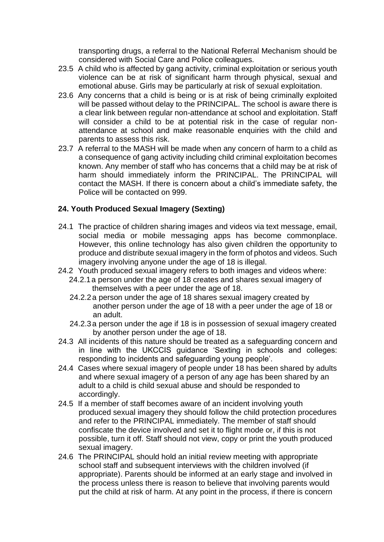transporting drugs, a referral to the National Referral Mechanism should be considered with Social Care and Police colleagues.

- 23.5 A child who is affected by gang activity, criminal exploitation or serious youth violence can be at risk of significant harm through physical, sexual and emotional abuse. Girls may be particularly at risk of sexual exploitation.
- 23.6 Any concerns that a child is being or is at risk of being criminally exploited will be passed without delay to the PRINCIPAL. The school is aware there is a clear link between regular non-attendance at school and exploitation. Staff will consider a child to be at potential risk in the case of regular nonattendance at school and make reasonable enquiries with the child and parents to assess this risk.
- 23.7 A referral to the MASH will be made when any concern of harm to a child as a consequence of gang activity including child criminal exploitation becomes known. Any member of staff who has concerns that a child may be at risk of harm should immediately inform the PRINCIPAL. The PRINCIPAL will contact the MASH. If there is concern about a child's immediate safety, the Police will be contacted on 999.

## **24. Youth Produced Sexual Imagery (Sexting)**

- 24.1 The practice of children sharing images and videos via text message, email, social media or mobile messaging apps has become commonplace. However, this online technology has also given children the opportunity to produce and distribute sexual imagery in the form of photos and videos. Such imagery involving anyone under the age of 18 is illegal.
- 24.2 Youth produced sexual imagery refers to both images and videos where:
	- 24.2.1a person under the age of 18 creates and shares sexual imagery of themselves with a peer under the age of 18.
	- 24.2.2a person under the age of 18 shares sexual imagery created by another person under the age of 18 with a peer under the age of 18 or an adult.
	- 24.2.3a person under the age if 18 is in possession of sexual imagery created by another person under the age of 18.
- 24.3 All incidents of this nature should be treated as a safeguarding concern and in line with the UKCCIS guidance 'Sexting in schools and colleges: responding to incidents and safeguarding young people'.
- 24.4 Cases where sexual imagery of people under 18 has been shared by adults and where sexual imagery of a person of any age has been shared by an adult to a child is child sexual abuse and should be responded to accordingly.
- 24.5 If a member of staff becomes aware of an incident involving youth produced sexual imagery they should follow the child protection procedures and refer to the PRINCIPAL immediately. The member of staff should confiscate the device involved and set it to flight mode or, if this is not possible, turn it off. Staff should not view, copy or print the youth produced sexual imagery.
- 24.6 The PRINCIPAL should hold an initial review meeting with appropriate school staff and subsequent interviews with the children involved (if appropriate). Parents should be informed at an early stage and involved in the process unless there is reason to believe that involving parents would put the child at risk of harm. At any point in the process, if there is concern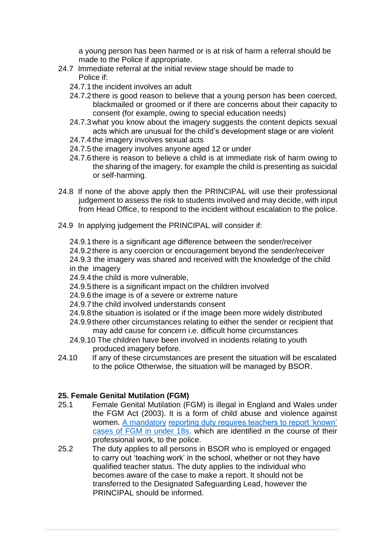a young person has been harmed or is at risk of harm a referral should be made to the Police if appropriate.

- 24.7 Immediate referral at the initial review stage should be made to Police if:
	- 24.7.1the incident involves an adult
	- 24.7.2there is good reason to believe that a young person has been coerced, blackmailed or groomed or if there are concerns about their capacity to consent (for example, owing to special education needs)
	- 24.7.3what you know about the imagery suggests the content depicts sexual acts which are unusual for the child's development stage or are violent
	- 24.7.4the imagery involves sexual acts
	- 24.7.5the imagery involves anyone aged 12 or under
	- 24.7.6there is reason to believe a child is at immediate risk of harm owing to the sharing of the imagery, for example the child is presenting as suicidal or self-harming.
- 24.8 If none of the above apply then the PRINCIPAL will use their professional judgement to assess the risk to students involved and may decide, with input from Head Office, to respond to the incident without escalation to the police.
- 24.9 In applying judgement the PRINCIPAL will consider if:

24.9.1there is a significant age difference between the sender/receiver 24.9.2there is any coercion or encouragement beyond the sender/receiver 24.9.3 the imagery was shared and received with the knowledge of the child in the imagery

- 24.9.4the child is more vulnerable,
- 24.9.5there is a significant impact on the children involved
- 24.9.6the image is of a severe or extreme nature
- 24.9.7the child involved understands consent
- 24.9.8the situation is isolated or if the image been more widely distributed
- 24.9.9there other circumstances relating to either the sender or recipient that may add cause for concern i.e. difficult home circumstances
- 24.9.10 The children have been involved in incidents relating to youth produced imagery before.
- 24.10 If any of these circumstances are present the situation will be escalated to the police Otherwise, the situation will be managed by BSOR.

## **25. Female Genital Mutilation (FGM)**

- 25.1 Female Genital Mutilation (FGM) is illegal in England and Wales under the FGM Act (2003). It is a form of child abuse and violence against women. [A mandatory](https://www.gov.uk/government/publications/mandatory-reporting-of-female-genital-mutilation-procedural-information) [reporting duty requires teachers to report 'known'](https://www.gov.uk/government/publications/mandatory-reporting-of-female-genital-mutilation-procedural-information)  [cases of FGM in under 18s, w](https://www.gov.uk/government/publications/mandatory-reporting-of-female-genital-mutilation-procedural-information)hich are identified in the course of their professional work, to the police.
- 25.2 The duty applies to all persons in BSOR who is employed or engaged to carry out 'teaching work' in the school, whether or not they have qualified teacher status. The duty applies to the individual who becomes aware of the case to make a report. It should not be transferred to the Designated Safeguarding Lead, however the PRINCIPAL should be informed.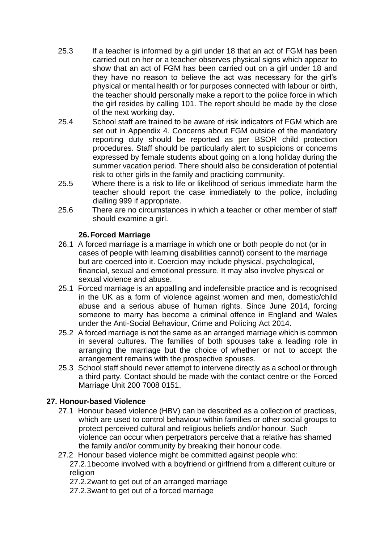- 25.3 If a teacher is informed by a girl under 18 that an act of FGM has been carried out on her or a teacher observes physical signs which appear to show that an act of FGM has been carried out on a girl under 18 and they have no reason to believe the act was necessary for the girl's physical or mental health or for purposes connected with labour or birth, the teacher should personally make a report to the police force in which the girl resides by calling 101. The report should be made by the close of the next working day.
- 25.4 School staff are trained to be aware of risk indicators of FGM which are set out in Appendix 4. Concerns about FGM outside of the mandatory reporting duty should be reported as per BSOR child protection procedures. Staff should be particularly alert to suspicions or concerns expressed by female students about going on a long holiday during the summer vacation period. There should also be consideration of potential risk to other girls in the family and practicing community.
- 25.5 Where there is a risk to life or likelihood of serious immediate harm the teacher should report the case immediately to the police, including dialling 999 if appropriate.
- 25.6 There are no circumstances in which a teacher or other member of staff should examine a girl.

## **26.Forced Marriage**

- 26.1 A forced marriage is a marriage in which one or both people do not (or in cases of people with learning disabilities cannot) consent to the marriage but are coerced into it. Coercion may include physical, psychological, financial, sexual and emotional pressure. It may also involve physical or sexual violence and abuse.
- 25.1 Forced marriage is an appalling and indefensible practice and is recognised in the UK as a form of violence against women and men, domestic/child abuse and a serious abuse of human rights. Since June 2014, forcing someone to marry has become a criminal offence in England and Wales under the Anti-Social Behaviour, Crime and Policing Act 2014.
- 25.2 A forced marriage is not the same as an arranged marriage which is common in several cultures. The families of both spouses take a leading role in arranging the marriage but the choice of whether or not to accept the arrangement remains with the prospective spouses.
- 25.3 School staff should never attempt to intervene directly as a school or through a third party. Contact should be made with the contact centre or the Forced Marriage Unit 200 7008 0151.

## **27. Honour-based Violence**

- 27.1 Honour based violence (HBV) can be described as a collection of practices, which are used to control behaviour within families or other social groups to protect perceived cultural and religious beliefs and/or honour. Such violence can occur when perpetrators perceive that a relative has shamed the family and/or community by breaking their honour code.
- 27.2 Honour based violence might be committed against people who: 27.2.1become involved with a boyfriend or girlfriend from a different culture or religion

27.2.2want to get out of an arranged marriage

27.2.3want to get out of a forced marriage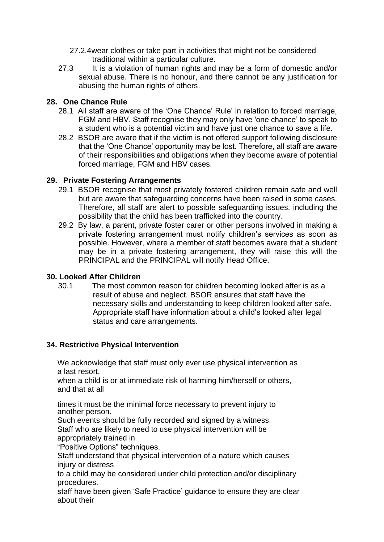- 27.2.4wear clothes or take part in activities that might not be considered traditional within a particular culture.
- 27.3 It is a violation of human rights and may be a form of domestic and/or sexual abuse. There is no honour, and there cannot be any justification for abusing the human rights of others.

## **28. One Chance Rule**

- 28.1 All staff are aware of the 'One Chance' Rule' in relation to forced marriage, FGM and HBV. Staff recognise they may only have 'one chance' to speak to a student who is a potential victim and have just one chance to save a life.
- 28.2 BSOR are aware that if the victim is not offered support following disclosure that the 'One Chance' opportunity may be lost. Therefore, all staff are aware of their responsibilities and obligations when they become aware of potential forced marriage, FGM and HBV cases.

## **29. Private Fostering Arrangements**

- 29.1 BSOR recognise that most privately fostered children remain safe and well but are aware that safeguarding concerns have been raised in some cases. Therefore, all staff are alert to possible safeguarding issues, including the possibility that the child has been trafficked into the country.
- 29.2 By law, a parent, private foster carer or other persons involved in making a private fostering arrangement must notify children's services as soon as possible. However, where a member of staff becomes aware that a student may be in a private fostering arrangement, they will raise this will the PRINCIPAL and the PRINCIPAL will notify Head Office.

## **30. Looked After Children**

30.1 The most common reason for children becoming looked after is as a result of abuse and neglect. BSOR ensures that staff have the necessary skills and understanding to keep children looked after safe. Appropriate staff have information about a child's looked after legal status and care arrangements.

## **34. Restrictive Physical Intervention**

We acknowledge that staff must only ever use physical intervention as a last resort,

when a child is or at immediate risk of harming him/herself or others, and that at all

times it must be the minimal force necessary to prevent injury to another person.

Such events should be fully recorded and signed by a witness.

Staff who are likely to need to use physical intervention will be appropriately trained in

"Positive Options" techniques.

Staff understand that physical intervention of a nature which causes injury or distress

to a child may be considered under child protection and/or disciplinary procedures.

staff have been given 'Safe Practice' guidance to ensure they are clear about their